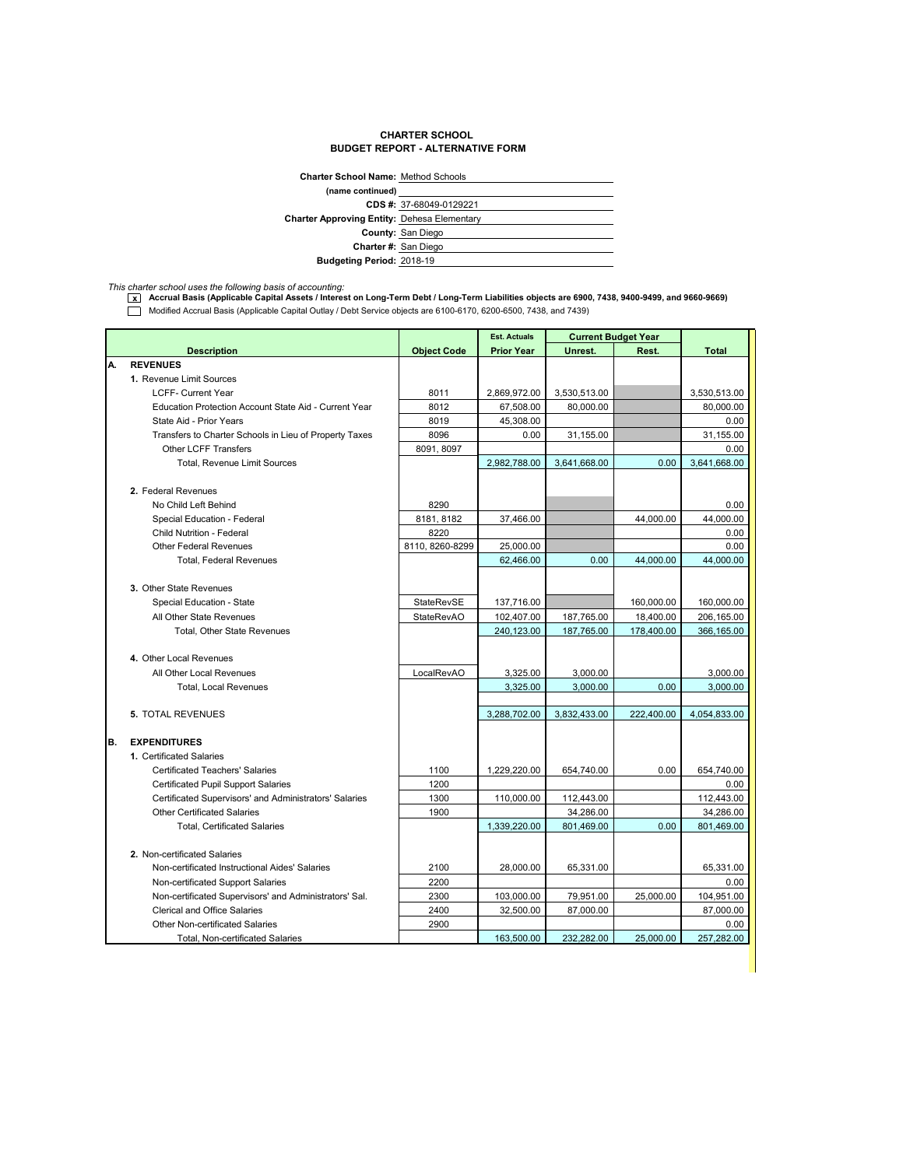## **CHARTER SCHOOL BUDGET REPORT - ALTERNATIVE FORM**

| <b>Charter School Name: Method Schools</b>         |                          |
|----------------------------------------------------|--------------------------|
| (name continued)                                   |                          |
|                                                    | CDS #: 37-68049-0129221  |
| <b>Charter Approving Entity: Dehesa Elementary</b> |                          |
|                                                    | <b>County: San Diego</b> |
|                                                    | Charter #: San Diego     |
| <b>Budgeting Period: 2018-19</b>                   |                          |
|                                                    |                          |

*This charter school uses the following basis of accounting:* **x Accrual Basis (Applicable Capital Assets / Interest on Long-Term Debt / Long-Term Liabilities objects are 6900, 7438, 9400-9499, and 9660-9669)** Modified Accrual Basis (Applicable Capital Outlay / Debt Service objects are 6100-6170, 6200-6500, 7438, and 7439)

|    |                                                        |                    | <b>Est. Actuals</b> | <b>Current Budget Year</b> |            |              |
|----|--------------------------------------------------------|--------------------|---------------------|----------------------------|------------|--------------|
|    | <b>Description</b>                                     | <b>Object Code</b> | <b>Prior Year</b>   | Unrest.                    | Rest.      | <b>Total</b> |
| А. | <b>REVENUES</b>                                        |                    |                     |                            |            |              |
|    | 1. Revenue Limit Sources                               |                    |                     |                            |            |              |
|    | <b>LCFF- Current Year</b>                              | 8011               | 2,869,972.00        | 3,530,513.00               |            | 3,530,513.00 |
|    | Education Protection Account State Aid - Current Year  | 8012               | 67,508.00           | 80,000.00                  |            | 80,000.00    |
|    | State Aid - Prior Years                                | 8019               | 45,308.00           |                            |            | 0.00         |
|    | Transfers to Charter Schools in Lieu of Property Taxes | 8096               | 0.00                | 31,155.00                  |            | 31,155.00    |
|    | <b>Other LCFF Transfers</b>                            | 8091, 8097         |                     |                            |            | 0.00         |
|    | <b>Total, Revenue Limit Sources</b>                    |                    | 2,982,788.00        | 3,641,668.00               | 0.00       | 3,641,668.00 |
|    |                                                        |                    |                     |                            |            |              |
|    | 2. Federal Revenues                                    |                    |                     |                            |            |              |
|    | No Child Left Behind                                   | 8290               |                     |                            |            | 0.00         |
|    | Special Education - Federal                            | 8181, 8182         | 37,466.00           |                            | 44,000.00  | 44,000.00    |
|    | Child Nutrition - Federal                              | 8220               |                     |                            |            | 0.00         |
|    | <b>Other Federal Revenues</b>                          | 8110, 8260-8299    | 25,000.00           |                            |            | 0.00         |
|    | <b>Total, Federal Revenues</b>                         |                    | 62,466.00           | 0.00                       | 44,000.00  | 44,000.00    |
|    |                                                        |                    |                     |                            |            |              |
|    | 3. Other State Revenues                                |                    |                     |                            |            |              |
|    | Special Education - State                              | StateRevSE         | 137,716.00          |                            | 160,000.00 | 160,000.00   |
|    | All Other State Revenues                               | <b>StateRevAO</b>  | 102,407.00          | 187,765.00                 | 18,400.00  | 206,165.00   |
|    | Total, Other State Revenues                            |                    | 240.123.00          | 187.765.00                 | 178.400.00 | 366.165.00   |
|    |                                                        |                    |                     |                            |            |              |
|    | 4. Other Local Revenues                                |                    |                     |                            |            |              |
|    | All Other Local Revenues                               | LocalRevAO         | 3,325.00            | 3,000.00                   |            | 3,000.00     |
|    | <b>Total, Local Revenues</b>                           |                    | 3,325.00            | 3,000.00                   | 0.00       | 3,000.00     |
|    |                                                        |                    |                     |                            |            |              |
|    | <b>5. TOTAL REVENUES</b>                               |                    | 3,288,702.00        | 3,832,433.00               | 222,400.00 | 4,054,833.00 |
|    |                                                        |                    |                     |                            |            |              |
| В. | <b>EXPENDITURES</b>                                    |                    |                     |                            |            |              |
|    | 1. Certificated Salaries                               |                    |                     |                            |            |              |
|    | <b>Certificated Teachers' Salaries</b>                 | 1100               | 1,229,220.00        | 654,740.00                 | 0.00       | 654,740.00   |
|    | <b>Certificated Pupil Support Salaries</b>             | 1200               |                     |                            |            | 0.00         |
|    | Certificated Supervisors' and Administrators' Salaries | 1300               | 110,000.00          | 112,443.00                 |            | 112,443.00   |
|    | <b>Other Certificated Salaries</b>                     | 1900               |                     | 34,286.00                  |            | 34,286.00    |
|    | <b>Total, Certificated Salaries</b>                    |                    | 1.339.220.00        | 801.469.00                 | 0.00       | 801.469.00   |
|    |                                                        |                    |                     |                            |            |              |
|    | 2. Non-certificated Salaries                           |                    |                     |                            |            |              |
|    | Non-certificated Instructional Aides' Salaries         | 2100               | 28,000.00           | 65,331.00                  |            | 65,331.00    |
|    | Non-certificated Support Salaries                      | 2200               |                     |                            |            | 0.00         |
|    | Non-certificated Supervisors' and Administrators' Sal. | 2300               | 103,000.00          | 79,951.00                  | 25,000.00  | 104,951.00   |
|    | <b>Clerical and Office Salaries</b>                    | 2400               | 32,500.00           | 87,000.00                  |            | 87,000.00    |
|    | <b>Other Non-certificated Salaries</b>                 | 2900               |                     |                            |            | 0.00         |
|    | <b>Total, Non-certificated Salaries</b>                |                    | 163,500.00          | 232,282.00                 | 25,000.00  | 257,282.00   |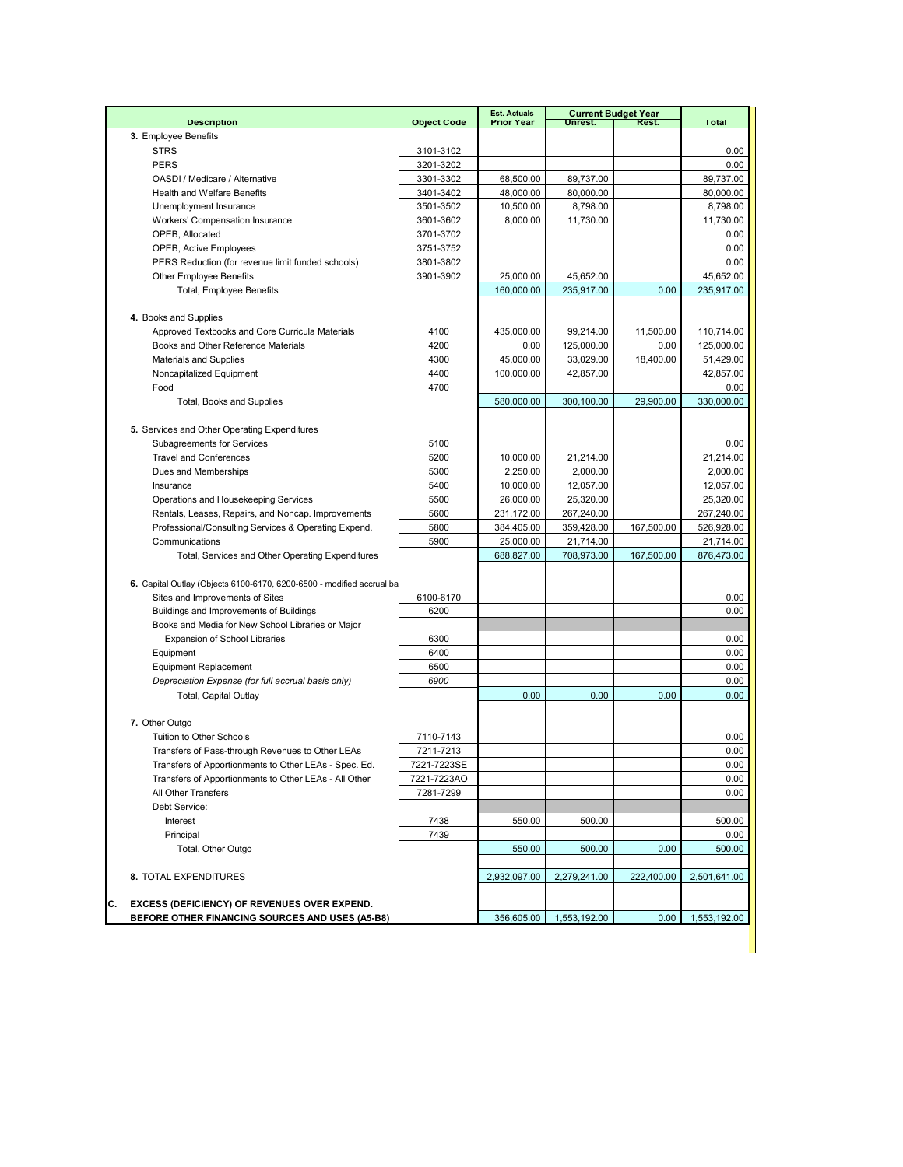| <b>Description</b><br><b>Object Code</b><br><b>Prior Year</b><br>Unrest.<br>Rest.<br>3. Employee Benefits<br><b>STRS</b><br>3101-3102<br><b>PERS</b><br>3201-3202<br>OASDI / Medicare / Alternative<br>68,500.00<br>89,737.00<br>3301-3302<br><b>Health and Welfare Benefits</b><br>48,000.00<br>80,000.00<br>3401-3402<br>10,500.00<br>8,798.00<br>Unemployment Insurance<br>3501-3502<br>Workers' Compensation Insurance<br>3601-3602<br>8,000.00<br>11,730.00<br>OPEB, Allocated<br>3701-3702<br>OPEB, Active Employees<br>3751-3752<br>PERS Reduction (for revenue limit funded schools)<br>3801-3802<br><b>Other Employee Benefits</b><br>3901-3902<br>25,000.00<br>45,652.00<br>Total, Employee Benefits<br>160,000.00<br>235,917.00<br>0.00 | <b>Total</b><br>0.00<br>0.00<br>89,737.00<br>80,000.00<br>8,798.00<br>11,730.00<br>0.00<br>0.00<br>0.00<br>45.652.00 |
|----------------------------------------------------------------------------------------------------------------------------------------------------------------------------------------------------------------------------------------------------------------------------------------------------------------------------------------------------------------------------------------------------------------------------------------------------------------------------------------------------------------------------------------------------------------------------------------------------------------------------------------------------------------------------------------------------------------------------------------------------|----------------------------------------------------------------------------------------------------------------------|
|                                                                                                                                                                                                                                                                                                                                                                                                                                                                                                                                                                                                                                                                                                                                                    |                                                                                                                      |
|                                                                                                                                                                                                                                                                                                                                                                                                                                                                                                                                                                                                                                                                                                                                                    |                                                                                                                      |
|                                                                                                                                                                                                                                                                                                                                                                                                                                                                                                                                                                                                                                                                                                                                                    |                                                                                                                      |
|                                                                                                                                                                                                                                                                                                                                                                                                                                                                                                                                                                                                                                                                                                                                                    |                                                                                                                      |
|                                                                                                                                                                                                                                                                                                                                                                                                                                                                                                                                                                                                                                                                                                                                                    |                                                                                                                      |
|                                                                                                                                                                                                                                                                                                                                                                                                                                                                                                                                                                                                                                                                                                                                                    |                                                                                                                      |
|                                                                                                                                                                                                                                                                                                                                                                                                                                                                                                                                                                                                                                                                                                                                                    |                                                                                                                      |
|                                                                                                                                                                                                                                                                                                                                                                                                                                                                                                                                                                                                                                                                                                                                                    |                                                                                                                      |
|                                                                                                                                                                                                                                                                                                                                                                                                                                                                                                                                                                                                                                                                                                                                                    |                                                                                                                      |
|                                                                                                                                                                                                                                                                                                                                                                                                                                                                                                                                                                                                                                                                                                                                                    |                                                                                                                      |
|                                                                                                                                                                                                                                                                                                                                                                                                                                                                                                                                                                                                                                                                                                                                                    |                                                                                                                      |
|                                                                                                                                                                                                                                                                                                                                                                                                                                                                                                                                                                                                                                                                                                                                                    |                                                                                                                      |
|                                                                                                                                                                                                                                                                                                                                                                                                                                                                                                                                                                                                                                                                                                                                                    | 235,917.00                                                                                                           |
| 4. Books and Supplies                                                                                                                                                                                                                                                                                                                                                                                                                                                                                                                                                                                                                                                                                                                              |                                                                                                                      |
| 4100                                                                                                                                                                                                                                                                                                                                                                                                                                                                                                                                                                                                                                                                                                                                               |                                                                                                                      |
| Approved Textbooks and Core Curricula Materials<br>435,000.00<br>99,214.00<br>11,500.00                                                                                                                                                                                                                                                                                                                                                                                                                                                                                                                                                                                                                                                            | 110,714.00                                                                                                           |
| 4200<br>125,000.00<br>0.00<br>Books and Other Reference Materials<br>0.00                                                                                                                                                                                                                                                                                                                                                                                                                                                                                                                                                                                                                                                                          | 125,000.00                                                                                                           |
| 45,000.00<br><b>Materials and Supplies</b><br>4300<br>33,029.00<br>18,400.00                                                                                                                                                                                                                                                                                                                                                                                                                                                                                                                                                                                                                                                                       | 51,429.00                                                                                                            |
| Noncapitalized Equipment<br>4400<br>100,000.00<br>42,857.00                                                                                                                                                                                                                                                                                                                                                                                                                                                                                                                                                                                                                                                                                        | 42,857.00                                                                                                            |
| 4700<br>Food                                                                                                                                                                                                                                                                                                                                                                                                                                                                                                                                                                                                                                                                                                                                       | $0.00\,$                                                                                                             |
| Total, Books and Supplies<br>580,000.00<br>300,100.00<br>29,900.00                                                                                                                                                                                                                                                                                                                                                                                                                                                                                                                                                                                                                                                                                 | 330,000.00                                                                                                           |
|                                                                                                                                                                                                                                                                                                                                                                                                                                                                                                                                                                                                                                                                                                                                                    |                                                                                                                      |
| 5. Services and Other Operating Expenditures                                                                                                                                                                                                                                                                                                                                                                                                                                                                                                                                                                                                                                                                                                       |                                                                                                                      |
| Subagreements for Services<br>5100                                                                                                                                                                                                                                                                                                                                                                                                                                                                                                                                                                                                                                                                                                                 | 0.00                                                                                                                 |
| <b>Travel and Conferences</b><br>5200<br>10,000.00<br>21,214.00                                                                                                                                                                                                                                                                                                                                                                                                                                                                                                                                                                                                                                                                                    | 21,214.00                                                                                                            |
| Dues and Memberships<br>2,250.00<br>2,000.00<br>5300                                                                                                                                                                                                                                                                                                                                                                                                                                                                                                                                                                                                                                                                                               | 2,000.00                                                                                                             |
| Insurance<br>5400<br>10,000.00<br>12,057.00                                                                                                                                                                                                                                                                                                                                                                                                                                                                                                                                                                                                                                                                                                        | 12,057.00                                                                                                            |
| Operations and Housekeeping Services<br>5500<br>26,000.00<br>25,320.00                                                                                                                                                                                                                                                                                                                                                                                                                                                                                                                                                                                                                                                                             | 25,320.00                                                                                                            |
| Rentals, Leases, Repairs, and Noncap. Improvements<br>5600<br>231,172.00<br>267,240.00                                                                                                                                                                                                                                                                                                                                                                                                                                                                                                                                                                                                                                                             | 267,240.00                                                                                                           |
| Professional/Consulting Services & Operating Expend.<br>5800<br>384,405.00<br>359,428.00<br>167,500.00                                                                                                                                                                                                                                                                                                                                                                                                                                                                                                                                                                                                                                             | 526,928.00                                                                                                           |
| Communications<br>5900<br>25,000.00<br>21,714.00                                                                                                                                                                                                                                                                                                                                                                                                                                                                                                                                                                                                                                                                                                   | 21,714.00                                                                                                            |
| Total, Services and Other Operating Expenditures<br>688,827.00<br>708,973.00<br>167,500.00                                                                                                                                                                                                                                                                                                                                                                                                                                                                                                                                                                                                                                                         | 876,473.00                                                                                                           |
|                                                                                                                                                                                                                                                                                                                                                                                                                                                                                                                                                                                                                                                                                                                                                    |                                                                                                                      |
| 6. Capital Outlay (Objects 6100-6170, 6200-6500 - modified accrual ba                                                                                                                                                                                                                                                                                                                                                                                                                                                                                                                                                                                                                                                                              |                                                                                                                      |
| Sites and Improvements of Sites<br>6100-6170                                                                                                                                                                                                                                                                                                                                                                                                                                                                                                                                                                                                                                                                                                       | 0.00                                                                                                                 |
| Buildings and Improvements of Buildings<br>6200                                                                                                                                                                                                                                                                                                                                                                                                                                                                                                                                                                                                                                                                                                    | 0.00                                                                                                                 |
| Books and Media for New School Libraries or Major                                                                                                                                                                                                                                                                                                                                                                                                                                                                                                                                                                                                                                                                                                  |                                                                                                                      |
| <b>Expansion of School Libraries</b><br>6300                                                                                                                                                                                                                                                                                                                                                                                                                                                                                                                                                                                                                                                                                                       | 0.00                                                                                                                 |
| Equipment<br>6400                                                                                                                                                                                                                                                                                                                                                                                                                                                                                                                                                                                                                                                                                                                                  | 0.00                                                                                                                 |
| <b>Equipment Replacement</b><br>6500                                                                                                                                                                                                                                                                                                                                                                                                                                                                                                                                                                                                                                                                                                               | 0.00                                                                                                                 |
| Depreciation Expense (for full accrual basis only)<br>6900                                                                                                                                                                                                                                                                                                                                                                                                                                                                                                                                                                                                                                                                                         | 0.00                                                                                                                 |
| Total, Capital Outlay<br>0.00<br>0.00<br>0.00                                                                                                                                                                                                                                                                                                                                                                                                                                                                                                                                                                                                                                                                                                      | 0.00                                                                                                                 |
|                                                                                                                                                                                                                                                                                                                                                                                                                                                                                                                                                                                                                                                                                                                                                    |                                                                                                                      |
| 7. Other Outgo                                                                                                                                                                                                                                                                                                                                                                                                                                                                                                                                                                                                                                                                                                                                     |                                                                                                                      |
| Tuition to Other Schools<br>7110-7143                                                                                                                                                                                                                                                                                                                                                                                                                                                                                                                                                                                                                                                                                                              | 0.00                                                                                                                 |
| Transfers of Pass-through Revenues to Other LEAs<br>7211-7213                                                                                                                                                                                                                                                                                                                                                                                                                                                                                                                                                                                                                                                                                      | 0.00                                                                                                                 |
| 7221-7223SE<br>Transfers of Apportionments to Other LEAs - Spec. Ed.                                                                                                                                                                                                                                                                                                                                                                                                                                                                                                                                                                                                                                                                               | 0.00                                                                                                                 |
| 7221-7223AO<br>Transfers of Apportionments to Other LEAs - All Other                                                                                                                                                                                                                                                                                                                                                                                                                                                                                                                                                                                                                                                                               | 0.00                                                                                                                 |
| All Other Transfers<br>7281-7299                                                                                                                                                                                                                                                                                                                                                                                                                                                                                                                                                                                                                                                                                                                   | 0.00                                                                                                                 |
| Debt Service:                                                                                                                                                                                                                                                                                                                                                                                                                                                                                                                                                                                                                                                                                                                                      |                                                                                                                      |
| 7438<br>550.00<br>500.00<br>Interest                                                                                                                                                                                                                                                                                                                                                                                                                                                                                                                                                                                                                                                                                                               | 500.00                                                                                                               |
| 7439<br>Principal                                                                                                                                                                                                                                                                                                                                                                                                                                                                                                                                                                                                                                                                                                                                  | 0.00                                                                                                                 |
| Total, Other Outgo<br>0.00<br>550.00<br>500.00                                                                                                                                                                                                                                                                                                                                                                                                                                                                                                                                                                                                                                                                                                     | 500.00                                                                                                               |
|                                                                                                                                                                                                                                                                                                                                                                                                                                                                                                                                                                                                                                                                                                                                                    |                                                                                                                      |
| 8. TOTAL EXPENDITURES<br>2,932,097.00<br>2,279,241.00<br>222,400.00                                                                                                                                                                                                                                                                                                                                                                                                                                                                                                                                                                                                                                                                                | 2,501,641.00                                                                                                         |
|                                                                                                                                                                                                                                                                                                                                                                                                                                                                                                                                                                                                                                                                                                                                                    |                                                                                                                      |
| С.<br><b>EXCESS (DEFICIENCY) OF REVENUES OVER EXPEND.</b>                                                                                                                                                                                                                                                                                                                                                                                                                                                                                                                                                                                                                                                                                          |                                                                                                                      |
| BEFORE OTHER FINANCING SOURCES AND USES (A5-B8)<br>356,605.00<br>1,553,192.00<br>0.00<br>1,553,192.00                                                                                                                                                                                                                                                                                                                                                                                                                                                                                                                                                                                                                                              |                                                                                                                      |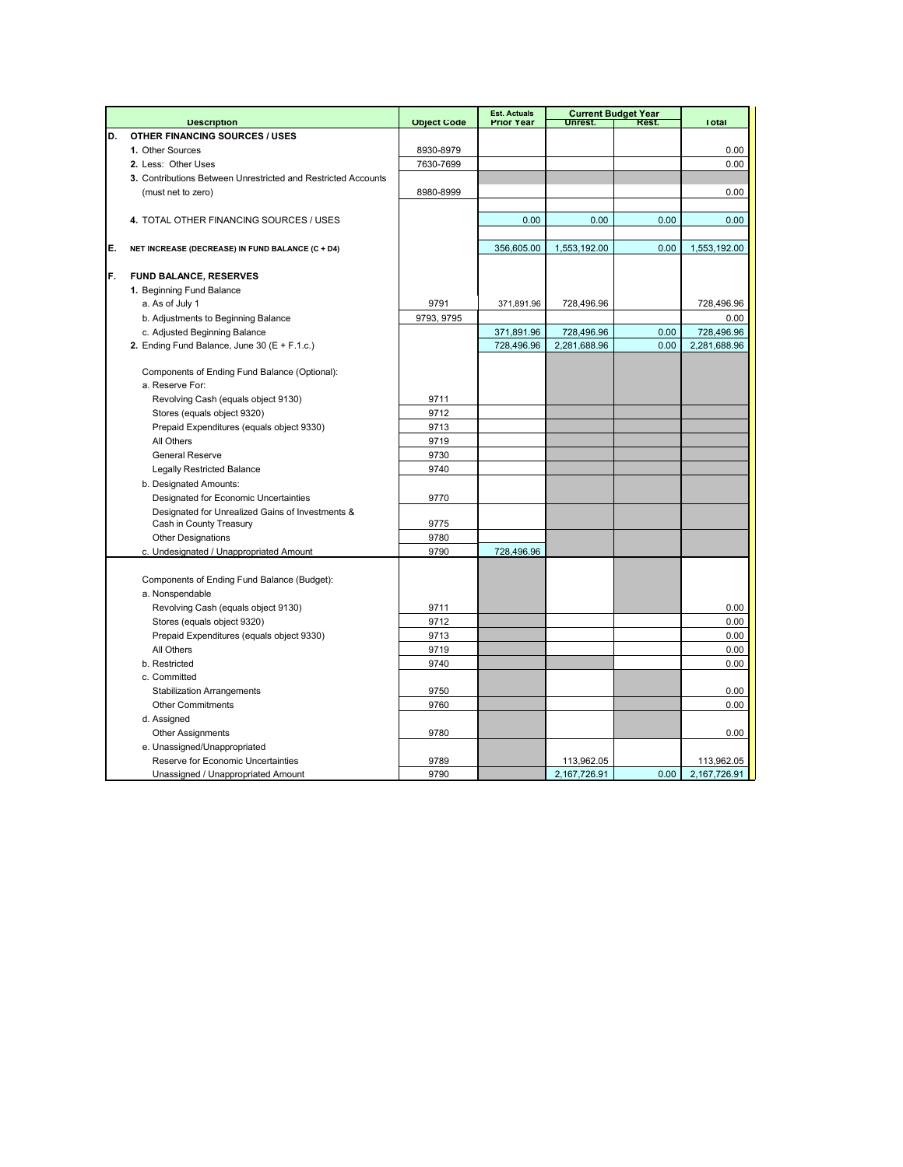|    |                                                               |                    | <b>Est. Actuals</b> |              | <b>Current Budget Year</b> |              |
|----|---------------------------------------------------------------|--------------------|---------------------|--------------|----------------------------|--------------|
|    | <b>Description</b>                                            | <b>Object Code</b> | <b>Prior Year</b>   | Unrest.      | Rest.                      | <b>Total</b> |
| D. | <b>OTHER FINANCING SOURCES / USES</b>                         |                    |                     |              |                            |              |
|    | 1. Other Sources                                              | 8930-8979          |                     |              |                            | 0.00         |
|    | 2. Less: Other Uses                                           | 7630-7699          |                     |              |                            | 0.00         |
|    | 3. Contributions Between Unrestricted and Restricted Accounts |                    |                     |              |                            |              |
|    | (must net to zero)                                            | 8980-8999          |                     |              |                            | 0.00         |
|    |                                                               |                    |                     |              |                            |              |
|    | 4. TOTAL OTHER FINANCING SOURCES / USES                       |                    | 0.00                | 0.00         | 0.00                       | 0.00         |
|    |                                                               |                    |                     |              |                            |              |
| E. | NET INCREASE (DECREASE) IN FUND BALANCE (C + D4)              |                    | 356,605.00          | 1,553,192.00 | 0.00                       | 1,553,192.00 |
|    |                                                               |                    |                     |              |                            |              |
| F. | FUND BALANCE, RESERVES                                        |                    |                     |              |                            |              |
|    | 1. Beginning Fund Balance                                     |                    |                     |              |                            |              |
|    | a. As of July 1                                               | 9791               | 371,891.96          | 728,496.96   |                            | 728,496.96   |
|    | b. Adjustments to Beginning Balance                           | 9793, 9795         |                     |              |                            | 0.00         |
|    | c. Adjusted Beginning Balance                                 |                    | 371,891.96          | 728,496.96   | 0.00                       | 728,496.96   |
|    | 2. Ending Fund Balance, June 30 (E + F.1.c.)                  |                    | 728,496.96          | 2,281,688.96 | 0.00                       | 2,281,688.96 |
|    |                                                               |                    |                     |              |                            |              |
|    | Components of Ending Fund Balance (Optional):                 |                    |                     |              |                            |              |
|    | a. Reserve For:                                               |                    |                     |              |                            |              |
|    | Revolving Cash (equals object 9130)                           | 9711               |                     |              |                            |              |
|    | Stores (equals object 9320)                                   | 9712               |                     |              |                            |              |
|    | Prepaid Expenditures (equals object 9330)                     | 9713               |                     |              |                            |              |
|    | All Others                                                    | 9719               |                     |              |                            |              |
|    | <b>General Reserve</b>                                        | 9730               |                     |              |                            |              |
|    | <b>Legally Restricted Balance</b>                             | 9740               |                     |              |                            |              |
|    | b. Designated Amounts:                                        |                    |                     |              |                            |              |
|    | Designated for Economic Uncertainties                         | 9770               |                     |              |                            |              |
|    | Designated for Unrealized Gains of Investments &              |                    |                     |              |                            |              |
|    | Cash in County Treasury                                       | 9775               |                     |              |                            |              |
|    | <b>Other Designations</b>                                     | 9780               |                     |              |                            |              |
|    | c. Undesignated / Unappropriated Amount                       | 9790               | 728,496.96          |              |                            |              |
|    |                                                               |                    |                     |              |                            |              |
|    | Components of Ending Fund Balance (Budget):                   |                    |                     |              |                            |              |
|    | a. Nonspendable                                               |                    |                     |              |                            |              |
|    | Revolving Cash (equals object 9130)                           | 9711               |                     |              |                            | 0.00         |
|    | Stores (equals object 9320)                                   | 9712               |                     |              |                            | 0.00         |
|    | Prepaid Expenditures (equals object 9330)                     | 9713               |                     |              |                            | 0.00         |
|    | All Others                                                    | 9719               |                     |              |                            | 0.00         |
|    | b. Restricted                                                 | 9740               |                     |              |                            | 0.00         |
|    | c. Committed                                                  |                    |                     |              |                            |              |
|    | <b>Stabilization Arrangements</b>                             | 9750               |                     |              |                            | 0.00         |
|    | <b>Other Commitments</b>                                      | 9760               |                     |              |                            | 0.00         |
|    | d. Assigned                                                   |                    |                     |              |                            |              |
|    | <b>Other Assignments</b>                                      | 9780               |                     |              |                            | 0.00         |
|    | e. Unassigned/Unappropriated                                  |                    |                     |              |                            |              |
|    | Reserve for Economic Uncertainties                            | 9789               |                     | 113,962.05   |                            | 113,962.05   |
|    | Unassigned / Unappropriated Amount                            | 9790               |                     | 2,167,726.91 | 0.00                       | 2,167,726.91 |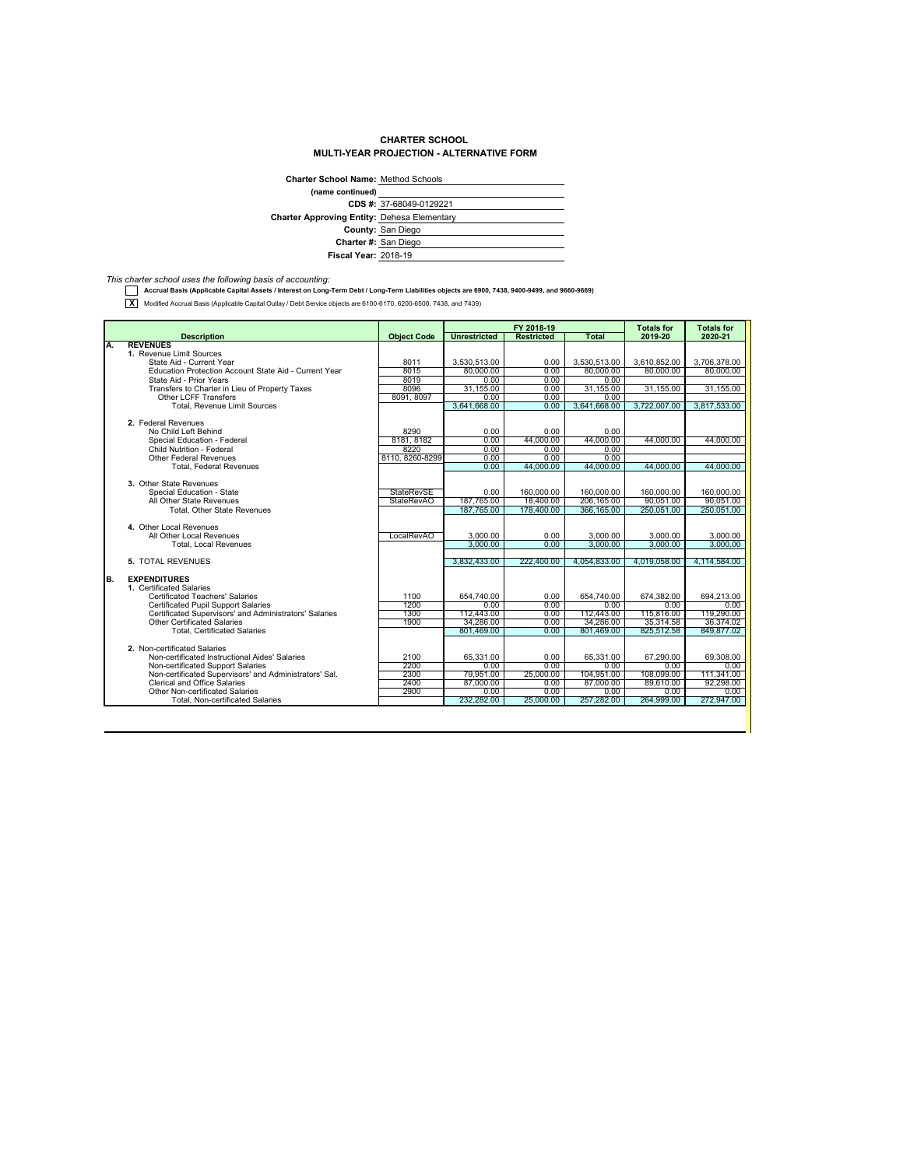## **CHARTER SCHOOL MULTI-YEAR PROJECTION - ALTERNATIVE FORM**

| <b>Charter School Name: Method Schools</b>         |                         |
|----------------------------------------------------|-------------------------|
| (name continued)                                   |                         |
|                                                    | CDS #: 37-68049-0129221 |
| <b>Charter Approving Entity: Dehesa Elementary</b> |                         |
|                                                    | County: San Diego       |
|                                                    | Charter #: San Diego    |
| <b>Fiscal Year: 2018-19</b>                        |                         |
|                                                    |                         |

*This charter school uses the following basis of accounting:*  **Accrual Basis (Applicable Capital Assets / Interest on Long-Term Debt / Long-Term Liabilities objects are 6900, 7438, 9400-9499, and 9660-9669)**

**X** Modified Accrual Basis (Applicable Capital Outlay / Debt Service objects are 6100-6170, 6200-6500, 7438, and 7439)

|           |                                                                                   |                    |                           | FY 2018-19              |                           | <b>Totals for</b>         | <b>Totals for</b>         |
|-----------|-----------------------------------------------------------------------------------|--------------------|---------------------------|-------------------------|---------------------------|---------------------------|---------------------------|
|           | <b>Description</b>                                                                | <b>Object Code</b> | <b>Unrestricted</b>       | <b>Restricted</b>       | <b>Total</b>              | 2019-20                   | 2020-21                   |
| A.        | <b>REVENUES</b>                                                                   |                    |                           |                         |                           |                           |                           |
|           | 1. Revenue Limit Sources                                                          |                    |                           |                         |                           |                           |                           |
|           | State Aid - Current Year<br>Education Protection Account State Aid - Current Year | 8011<br>8015       | 3.530.513.00<br>80,000.00 | 0.00<br>0.00            | 3.530.513.00<br>80.000.00 | 3.610.852.00<br>80.000.00 | 3.706.378.00<br>80,000,00 |
|           | State Aid - Prior Years                                                           | 8019               | 0.00                      | 0.00                    | 0.00                      |                           |                           |
|           | Transfers to Charter in Lieu of Property Taxes                                    | 8096               | 31.155.00                 | 0.00                    | 31.155.00                 | 31,155.00                 | 31.155.00                 |
|           | <b>Other LCFF Transfers</b>                                                       | 8091, 8097         | 0.00                      | 0.00                    | 0.00                      |                           |                           |
|           | <b>Total, Revenue Limit Sources</b>                                               |                    | 3.641.668.00              | 0.00                    | 3.641.668.00              | 3.722.007.00              | 3,817,533.00              |
|           |                                                                                   |                    |                           |                         |                           |                           |                           |
|           | 2. Federal Revenues                                                               |                    |                           |                         |                           |                           |                           |
|           | No Child Left Behind                                                              | 8290               | 0.00                      | 0.00                    | 0.00                      |                           |                           |
|           | Special Education - Federal                                                       | 8181, 8182         | 0.00                      | 44.000.00               | 44.000.00                 | 44.000.00                 | 44.000.00                 |
|           | Child Nutrition - Federal                                                         | 8220               | 0.00                      | 0.00                    | 0.00                      |                           |                           |
|           | Other Federal Revenues                                                            | 8110.8260-8299     | 0.00                      | 0.00                    | 0.00                      |                           |                           |
|           | <b>Total, Federal Revenues</b>                                                    |                    | 0.00                      | 44.000.00               | 44.000.00                 | 44.000.00                 | 44.000.00                 |
|           |                                                                                   |                    |                           |                         |                           |                           |                           |
|           | 3. Other State Revenues                                                           |                    |                           |                         |                           |                           |                           |
|           | Special Education - State                                                         | <b>StateRevSE</b>  | 0.00                      | 160.000.00              | 160.000.00                | 160.000.00                | 160,000.00                |
|           | All Other State Revenues                                                          | <b>StateRevAO</b>  | 187,765.00<br>187.765.00  | 18.400.00<br>178,400.00 | 206.165.00<br>366.165.00  | 90.051.00<br>250,051.00   | 90.051.00<br>250.051.00   |
|           | Total, Other State Revenues                                                       |                    |                           |                         |                           |                           |                           |
|           | 4. Other Local Revenues                                                           |                    |                           |                         |                           |                           |                           |
|           | All Other Local Revenues                                                          | LocalRevAO         | 3.000.00                  | 0.00                    | 3.000.00                  | 3,000.00                  | 3,000.00                  |
|           | <b>Total, Local Revenues</b>                                                      |                    | 3.000.00                  | 0.00                    | 3.000.00                  | 3.000.00                  | 3.000.00                  |
|           |                                                                                   |                    |                           |                         |                           |                           |                           |
|           | 5. TOTAL REVENUES                                                                 |                    | 3.832.433.00              | 222.400.00              | 4.054.833.00              | 4.019.058.00              | 4.114.584.00              |
|           |                                                                                   |                    |                           |                         |                           |                           |                           |
| <b>B.</b> | <b>EXPENDITURES</b>                                                               |                    |                           |                         |                           |                           |                           |
|           | 1. Certificated Salaries                                                          |                    |                           |                         |                           |                           |                           |
|           | <b>Certificated Teachers' Salaries</b>                                            | 1100               | 654.740.00                | 0.00                    | 654.740.00                | 674.382.00                | 694,213.00                |
|           | <b>Certificated Pupil Support Salaries</b>                                        | 1200               | 0.00                      | 0.00                    | 0.00                      | 0.00                      | 0.00                      |
|           | Certificated Supervisors' and Administrators' Salaries                            | 1300               | 112.443.00                | 0.00                    | 112,443.00                | 115,816,00                | 119,290.00                |
|           | Other Certificated Salaries                                                       | 1900               | 34.286.00                 | 0.00                    | 34.286.00                 | 35.314.58                 | 36.374.02                 |
|           | <b>Total, Certificated Salaries</b>                                               |                    | 801.469.00                | 0.00                    | 801.469.00                | 825.512.58                | 849.877.02                |
|           | 2. Non-certificated Salaries                                                      |                    |                           |                         |                           |                           |                           |
|           | Non-certificated Instructional Aides' Salaries                                    | 2100               | 65.331.00                 | 0.00                    | 65,331.00                 | 67.290.00                 | 69.308.00                 |
|           | Non-certificated Support Salaries                                                 | 2200               | 0.00                      | 0.00                    | 0.00                      | 0.00                      | $0.00 -$                  |
|           | Non-certificated Supervisors' and Administrators' Sal.                            | 2300               | 79.951.00                 | 25,000.00               | 104,951.00                | 108.099.00                | 111.341.00                |
|           | Clerical and Office Salaries                                                      | 2400               | 87.000.00                 | 0.00                    | 87,000.00                 | 89.610.00                 | 92.298.00                 |
|           | Other Non-certificated Salaries                                                   | 2900               | 0.00                      | 0.00                    | 0.00                      | 0.00                      | 0.00                      |
|           | <b>Total, Non-certificated Salaries</b>                                           |                    | 232.282.00                | 25,000.00               | 257.282.00                | 264.999.00                | 272.947.00                |
|           |                                                                                   |                    |                           |                         |                           |                           |                           |
|           |                                                                                   |                    |                           |                         |                           |                           |                           |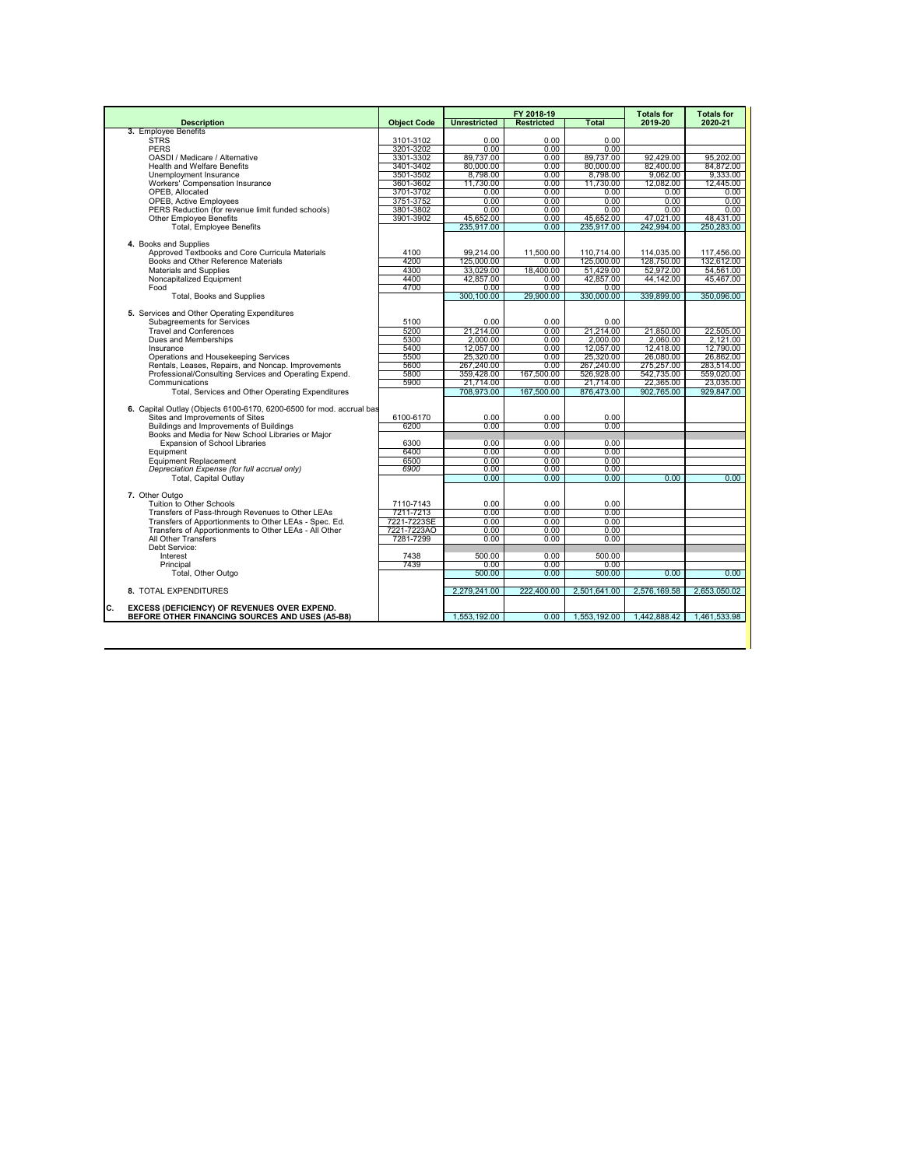|                                                                          |                        |                         | FY 2018-19             |                         | <b>Totals for</b>       | <b>Totals for</b>       |
|--------------------------------------------------------------------------|------------------------|-------------------------|------------------------|-------------------------|-------------------------|-------------------------|
| <b>Description</b>                                                       | <b>Object Code</b>     | <b>Unrestricted</b>     | <b>Restricted</b>      | Total                   | 2019-20                 | 2020-21                 |
| 3. Employee Benefits                                                     |                        |                         |                        |                         |                         |                         |
| <b>STRS</b><br><b>PERS</b>                                               | 3101-3102<br>3201-3202 | 0.00<br>0.00            | $0.00 -$<br>0.00       | $0.00 -$<br>0.00        |                         |                         |
| OASDI / Medicare / Alternative                                           | 3301-3302              | 89,737.00               | 0.00                   | 89,737.00               | 92,429.00               | 95,202.00               |
| <b>Health and Welfare Benefits</b>                                       | 3401-3402              | 80,000,00               | 0.00                   | 80,000.00               | 82,400.00               | 84.872.00               |
| Unemployment Insurance                                                   | 3501-3502              | 8,798.00                | 0.00                   | 8,798.00                | 9.062.00                | 9,333.00                |
| Workers' Compensation Insurance                                          | 3601-3602              | 11.730.00               | 0.00                   | 11.730.00               | 12.082.00               | 12.445.00               |
| OPEB. Allocated                                                          | 3701-3702              | 0.00                    | 0.00                   | 0.00                    | 0.00                    | 0.00                    |
| <b>OPEB, Active Employees</b>                                            | 3751-3752              | 0.00                    | 0.00                   | 0.00                    | 0.00                    | 0.00                    |
| PERS Reduction (for revenue limit funded schools)                        | 3801-3802              | 0.00                    | 0.00                   | 0.00                    | 0.00                    | 0.00                    |
| <b>Other Employee Benefits</b>                                           | 3901-3902              | 45,652.00               | 0.00                   | 45.652.00               | 47.021.00               | 48.431.00               |
| <b>Total, Employee Benefits</b>                                          |                        | 235,917.00              | 0.00                   | 235,917.00              | 242,994.00              | 250,283.00              |
|                                                                          |                        |                         |                        |                         |                         |                         |
| 4. Books and Supplies<br>Approved Textbooks and Core Curricula Materials | 4100                   | 99.214.00               | 11.500.00              | 110.714.00              | 114.035.00              | 117.456.00              |
| Books and Other Reference Materials                                      | 4200                   | 125.000.00              | 0.00                   | 125,000.00              | 128,750.00              | 132,612.00              |
| Materials and Supplies                                                   | 4300                   | 33.029.00               | 18.400.00              | 51.429.00               | 52,972.00               | 54.561.00               |
| Noncapitalized Equipment                                                 | 4400                   | 42,857.00               | 0.00                   | 42,857.00               | 44.142.00               | 45.467.00               |
| Food                                                                     | 4700                   | 0.00                    | 0.00                   | 0.00                    |                         |                         |
| Total, Books and Supplies                                                |                        | 300.100.00              | 29,900.00              | 330,000.00              | 339,899.00              | 350,096.00              |
|                                                                          |                        |                         |                        |                         |                         |                         |
| 5. Services and Other Operating Expenditures                             |                        |                         |                        |                         |                         |                         |
| Subagreements for Services                                               | 5100                   | 0.00                    | 0.00                   | 0.00                    |                         |                         |
| <b>Travel and Conferences</b>                                            | 5200                   | 21.214.00               | $0.00 -$               | 21,214.00               | 21.850.00               | 22,505.00               |
| Dues and Memberships                                                     | 5300                   | 2.000.00                | 0.00                   | 2.000.00                | 2.060.00                | 2.121.00                |
| Insurance                                                                | 5400                   | 12.057.00               | 0.00                   | 12.057.00               | 12.418.00               | 12.790.00               |
| Operations and Housekeeping Services                                     | 5500                   | 25,320.00               | 0.00                   | 25.320.00               | 26,080.00               | 26.862.00               |
| Rentals, Leases, Repairs, and Noncap. Improvements                       | 5600                   | 267,240.00              | 0.00                   | 267,240.00              | 275,257.00              | 283,514.00              |
| Professional/Consulting Services and Operating Expend.                   | 5800<br>5900           | 359,428.00              | 167.500.00             | 526,928.00              | 542,735.00<br>22,365.00 | 559,020.00              |
| Communications<br>Total, Services and Other Operating Expenditures       |                        | 21.714.00<br>708,973.00 | $0.00 -$<br>167,500.00 | 21.714.00<br>876,473.00 | 902,765.00              | 23.035.00<br>929,847.00 |
|                                                                          |                        |                         |                        |                         |                         |                         |
| 6. Capital Outlay (Objects 6100-6170, 6200-6500 for mod, accrual bas     |                        |                         |                        |                         |                         |                         |
| Sites and Improvements of Sites                                          | 6100-6170              | 0.00                    | 0.00                   | 0.00                    |                         |                         |
| Buildings and Improvements of Buildings                                  | 6200                   | 0.00                    | 0.00                   | 0.00                    |                         |                         |
| Books and Media for New School Libraries or Maior                        |                        |                         |                        |                         |                         |                         |
| <b>Expansion of School Libraries</b>                                     | 6300                   | 0.00                    | 0.00                   | 0.00                    |                         |                         |
| Equipment                                                                | 6400                   | 0.00                    | 0.00                   | 0.00                    |                         |                         |
| <b>Equipment Replacement</b>                                             | 6500                   | 0.00                    | 0.00                   | 0.00                    |                         |                         |
| Depreciation Expense (for full accrual only)                             | 6900                   | 0.00                    | 0.00                   | 0.00                    |                         |                         |
| <b>Total, Capital Outlav</b>                                             |                        | 0.00                    | 0.00                   | 0.00                    | 0.00                    | 0.00                    |
| 7. Other Outgo                                                           |                        |                         |                        |                         |                         |                         |
| Tuition to Other Schools                                                 | 7110-7143              | 0.00                    | 0.00                   | 0.00                    |                         |                         |
| Transfers of Pass-through Revenues to Other LEAs                         | 7211-7213              | 0.00                    | 0.00                   | 0.00                    |                         |                         |
| Transfers of Apportionments to Other LEAs - Spec. Ed.                    | 7221-7223SE            | 0.00                    | 0.00                   | 0.00                    |                         |                         |
| Transfers of Apportionments to Other LEAs - All Other                    | 7221-7223AO            | 0.00                    | 0.00                   | 0.00                    |                         |                         |
| All Other Transfers                                                      | 7281-7299              | 0.00                    | 0.00                   | 0.00                    |                         |                         |
| Debt Service:                                                            |                        |                         |                        |                         |                         |                         |
| Interest                                                                 | 7438                   | 500.00                  | 0.00                   | 500.00                  |                         |                         |
| Principal                                                                | 7439                   | 0.00                    | 0.00                   | 0.00                    |                         |                         |
| Total, Other Outgo                                                       |                        | 500.00                  | 0.00                   | 500.00                  | 0.00                    | 0.00                    |
|                                                                          |                        |                         |                        |                         |                         |                         |
| 8. TOTAL EXPENDITURES                                                    |                        | 2.279.241.00            | 222,400.00             | 2.501.641.00            | 2.576.169.58            | 2.653.050.02            |
| c.<br><b>EXCESS (DEFICIENCY) OF REVENUES OVER EXPEND.</b>                |                        |                         |                        |                         |                         |                         |
| BEFORE OTHER FINANCING SOURCES AND USES (A5-B8)                          |                        | 1,553,192.00            | 0.00                   | 1,553,192.00            | 1,442,888.42            | 1,461,533.98            |
|                                                                          |                        |                         |                        |                         |                         |                         |
|                                                                          |                        |                         |                        |                         |                         |                         |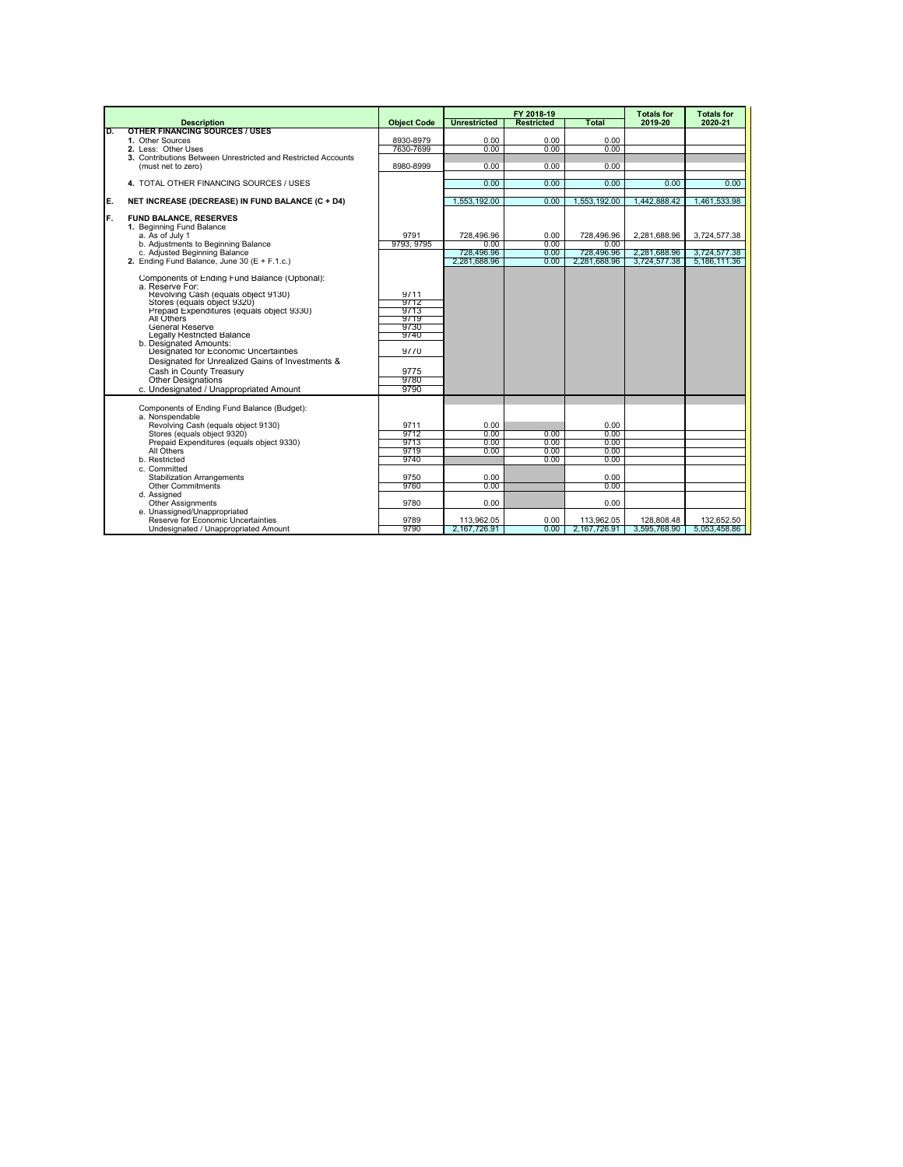| <b>Object Code</b><br><b>Restricted</b><br>Total<br>2019-20<br>2020-21<br><b>Description</b><br><b>OTHER FINANCING SOURCES / USES</b><br>D.<br>1. Other Sources<br>8930-8979<br>0.00<br>0.00<br>0.00<br>2. Less: Other Uses<br>7630-7699<br>0.00<br>0.00<br>0.00<br>3. Contributions Between Unrestricted and Restricted Accounts<br>8980-8999<br>0.00<br>0.00<br>0.00<br>(must net to zero)<br>0.00<br>4. TOTAL OTHER FINANCING SOURCES / USES<br>0.00<br>0.00<br>0.00<br>E.<br>1.553.192.00<br>1.553.192.00<br>NET INCREASE (DECREASE) IN FUND BALANCE (C + D4)<br>0.00<br>1.442.888.42<br>F.<br><b>FUND BALANCE, RESERVES</b><br>1. Beginning Fund Balance<br>a. As of July 1<br>9791<br>728.496.96<br>0.00<br>728.496.96<br>2.281.688.96<br>b. Adiustments to Beginning Balance<br>9793, 9795<br>0.00<br>0.00<br>0.00<br>c. Adjusted Beginning Balance<br>728,496.96<br>0.00<br>728.496.96<br>2,281,688.96<br>2. Ending Fund Balance, June 30 (E + F.1.c.)<br>2,281,688.96<br>0.00<br>2,281,688.96<br>3,724,577.38<br>Components of Ending Fund Balance (Optional):<br>a. Reserve For:<br>Revolving Cash (equals object 9130)<br>9711<br>9712<br>Stores (equals object 9320)<br>Prepaid Expenditures (equals object 9330)<br>9713<br>All Others<br>9719<br><b>General Reserve</b><br>9730<br>Legally Restricted Balance<br>9740<br>b. Designated Amounts:<br>Designated for Economic Uncertainties<br>9770<br>Designated for Unrealized Gains of Investments &<br>Cash in County Treasury<br>9775<br><b>Other Designations</b><br>9780<br>9790<br>c. Undesignated / Unappropriated Amount<br>Components of Ending Fund Balance (Budget):<br>a. Nonspendable<br>Revolving Cash (equals object 9130)<br>9711<br>0.00<br>0.00<br>Stores (equals object 9320)<br>9712<br>0.00<br>0.00<br>0.00<br>Prepaid Expenditures (equals object 9330)<br>9713<br>0.00<br>0.00<br>0.00<br>All Others<br>9719<br>0.00<br>0.00<br>0.00<br>b. Restricted<br>9740<br>0.00<br>0.00<br>c. Committed<br><b>Stabilization Arrangements</b><br>0.00<br>0.00<br>9750<br><b>Other Commitments</b><br>9760<br>0.00<br>0.00<br>d. Assigned |  |                     | FY 2018-19 | <b>Totals for</b> | <b>Totals for</b>                            |
|-------------------------------------------------------------------------------------------------------------------------------------------------------------------------------------------------------------------------------------------------------------------------------------------------------------------------------------------------------------------------------------------------------------------------------------------------------------------------------------------------------------------------------------------------------------------------------------------------------------------------------------------------------------------------------------------------------------------------------------------------------------------------------------------------------------------------------------------------------------------------------------------------------------------------------------------------------------------------------------------------------------------------------------------------------------------------------------------------------------------------------------------------------------------------------------------------------------------------------------------------------------------------------------------------------------------------------------------------------------------------------------------------------------------------------------------------------------------------------------------------------------------------------------------------------------------------------------------------------------------------------------------------------------------------------------------------------------------------------------------------------------------------------------------------------------------------------------------------------------------------------------------------------------------------------------------------------------------------------------------------------------------------------------------------------------------------------------------------------------------|--|---------------------|------------|-------------------|----------------------------------------------|
|                                                                                                                                                                                                                                                                                                                                                                                                                                                                                                                                                                                                                                                                                                                                                                                                                                                                                                                                                                                                                                                                                                                                                                                                                                                                                                                                                                                                                                                                                                                                                                                                                                                                                                                                                                                                                                                                                                                                                                                                                                                                                                                   |  | <b>Unrestricted</b> |            |                   |                                              |
|                                                                                                                                                                                                                                                                                                                                                                                                                                                                                                                                                                                                                                                                                                                                                                                                                                                                                                                                                                                                                                                                                                                                                                                                                                                                                                                                                                                                                                                                                                                                                                                                                                                                                                                                                                                                                                                                                                                                                                                                                                                                                                                   |  |                     |            |                   |                                              |
|                                                                                                                                                                                                                                                                                                                                                                                                                                                                                                                                                                                                                                                                                                                                                                                                                                                                                                                                                                                                                                                                                                                                                                                                                                                                                                                                                                                                                                                                                                                                                                                                                                                                                                                                                                                                                                                                                                                                                                                                                                                                                                                   |  |                     |            |                   |                                              |
|                                                                                                                                                                                                                                                                                                                                                                                                                                                                                                                                                                                                                                                                                                                                                                                                                                                                                                                                                                                                                                                                                                                                                                                                                                                                                                                                                                                                                                                                                                                                                                                                                                                                                                                                                                                                                                                                                                                                                                                                                                                                                                                   |  |                     |            |                   |                                              |
|                                                                                                                                                                                                                                                                                                                                                                                                                                                                                                                                                                                                                                                                                                                                                                                                                                                                                                                                                                                                                                                                                                                                                                                                                                                                                                                                                                                                                                                                                                                                                                                                                                                                                                                                                                                                                                                                                                                                                                                                                                                                                                                   |  |                     |            |                   |                                              |
|                                                                                                                                                                                                                                                                                                                                                                                                                                                                                                                                                                                                                                                                                                                                                                                                                                                                                                                                                                                                                                                                                                                                                                                                                                                                                                                                                                                                                                                                                                                                                                                                                                                                                                                                                                                                                                                                                                                                                                                                                                                                                                                   |  |                     |            |                   |                                              |
|                                                                                                                                                                                                                                                                                                                                                                                                                                                                                                                                                                                                                                                                                                                                                                                                                                                                                                                                                                                                                                                                                                                                                                                                                                                                                                                                                                                                                                                                                                                                                                                                                                                                                                                                                                                                                                                                                                                                                                                                                                                                                                                   |  |                     |            |                   | 0.00                                         |
|                                                                                                                                                                                                                                                                                                                                                                                                                                                                                                                                                                                                                                                                                                                                                                                                                                                                                                                                                                                                                                                                                                                                                                                                                                                                                                                                                                                                                                                                                                                                                                                                                                                                                                                                                                                                                                                                                                                                                                                                                                                                                                                   |  |                     |            |                   | 1.461.533.98                                 |
|                                                                                                                                                                                                                                                                                                                                                                                                                                                                                                                                                                                                                                                                                                                                                                                                                                                                                                                                                                                                                                                                                                                                                                                                                                                                                                                                                                                                                                                                                                                                                                                                                                                                                                                                                                                                                                                                                                                                                                                                                                                                                                                   |  |                     |            |                   | 3.724.577.38<br>3,724,577.38<br>5,186,111.36 |
| 0.00<br><b>Other Assignments</b><br>9780<br>0.00<br>e. Unassigned/Unappropriated<br>Reserve for Economic Uncertainties<br>113,962.05<br>113,962.05<br>128,808.48<br>9789<br>0.00                                                                                                                                                                                                                                                                                                                                                                                                                                                                                                                                                                                                                                                                                                                                                                                                                                                                                                                                                                                                                                                                                                                                                                                                                                                                                                                                                                                                                                                                                                                                                                                                                                                                                                                                                                                                                                                                                                                                  |  |                     |            |                   | 132,652.50                                   |
| Undesignated / Unappropriated Amount<br>9790<br>2,167,726.91<br>0.00<br>2,167,726.91<br>3,595,768.90                                                                                                                                                                                                                                                                                                                                                                                                                                                                                                                                                                                                                                                                                                                                                                                                                                                                                                                                                                                                                                                                                                                                                                                                                                                                                                                                                                                                                                                                                                                                                                                                                                                                                                                                                                                                                                                                                                                                                                                                              |  |                     |            |                   | 5,053,458.86                                 |